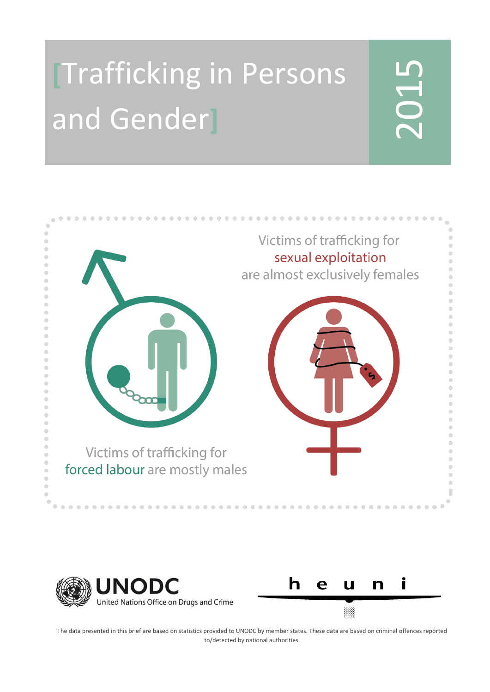# **[**Trafficking in Persons and Gender**]**

# 20<br>20<br>20







The data presented in this brief are based on statistics provided to UNODC by member states. These data are based on criminal offences reported to/detected by national authorities.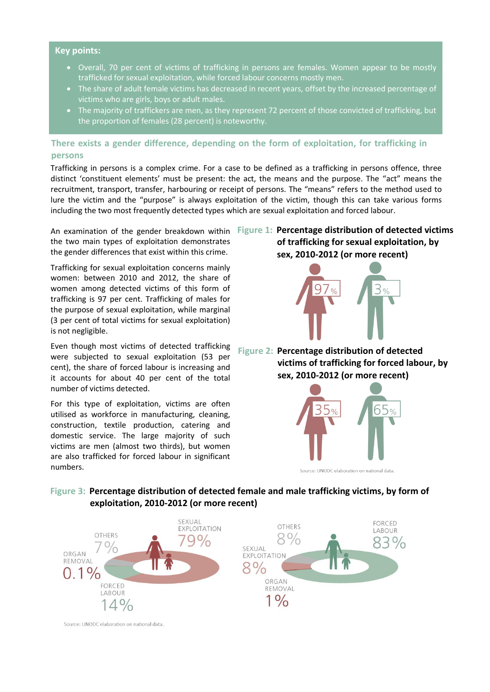### **Key points:**

- Overall, 70 per cent of victims of trafficking in persons are females. Women appear to be mostly trafficked for sexual exploitation, while forced labour concerns mostly men.
- The share of adult female victims has decreased in recent years, offset by the increased percentage of victims who are girls, boys or adult males.
- The majority of traffickers are men, as they represent 72 percent of those convicted of trafficking, but the proportion of females (28 percent) is noteworthy.

# **There exists a gender difference, depending on the form of exploitation, for trafficking in persons**

Trafficking in persons is a complex crime. For a case to be defined as a trafficking in persons offence, three distinct 'constituent elements' must be present: the act, the means and the purpose. The "act" means the recruitment, transport, transfer, harbouring or receipt of persons. The "means" refers to the method used to lure the victim and the "purpose" is always exploitation of the victim, though this can take various forms including the two most frequently detected types which are sexual exploitation and forced labour.

the two main types of exploitation demonstrates the gender differences that exist within this crime.

Trafficking for sexual exploitation concerns mainly women: between 2010 and 2012, the share of women among detected victims of this form of trafficking is 97 per cent. Trafficking of males for the purpose of sexual exploitation, while marginal (3 per cent of total victims for sexual exploitation) is not negligible.

Even though most victims of detected trafficking were subjected to sexual exploitation (53 per cent), the share of forced labour is increasing and it accounts for about 40 per cent of the total number of victims detected.

For this type of exploitation, victims are often utilised as workforce in manufacturing, cleaning, construction, textile production, catering and domestic service. The large majority of such victims are men (almost two thirds), but women are also trafficked for forced labour in significant numbers.

An examination of the gender breakdown within **Figure 1: Percentage distribution of detected victims of trafficking for sexual exploitation, by sex, 2010-2012 (or more recent)**



**Figure 2: Percentage distribution of detected victims of trafficking for forced labour, by sex, 2010-2012 (or more recent)**



Source: UNODC elaboration on national data

# **Figure 3: Percentage distribution of detected female and male trafficking victims, by form of exploitation, 2010-2012 (or more recent)**



Source: UNODC elaboration on national data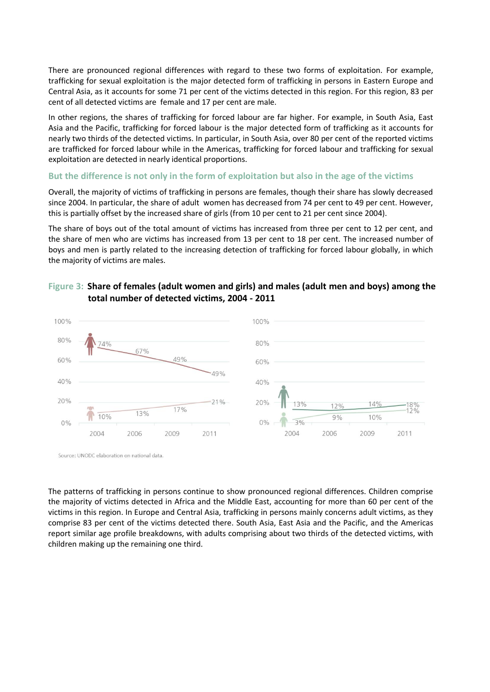There are pronounced regional differences with regard to these two forms of exploitation. For example, trafficking for sexual exploitation is the major detected form of trafficking in persons in Eastern Europe and Central Asia, as it accounts for some 71 per cent of the victims detected in this region. For this region, 83 per cent of all detected victims are female and 17 per cent are male.

In other regions, the shares of trafficking for forced labour are far higher. For example, in South Asia, East Asia and the Pacific, trafficking for forced labour is the major detected form of trafficking as it accounts for nearly two thirds of the detected victims. In particular, in South Asia, over 80 per cent of the reported victims are trafficked for forced labour while in the Americas, trafficking for forced labour and trafficking for sexual exploitation are detected in nearly identical proportions.

### **But the difference is not only in the form of exploitation but also in the age of the victims**

Overall, the majority of victims of trafficking in persons are females, though their share has slowly decreased since 2004. In particular, the share of adult women has decreased from 74 per cent to 49 per cent. However, this is partially offset by the increased share of girls (from 10 per cent to 21 per cent since 2004).

The share of boys out of the total amount of victims has increased from three per cent to 12 per cent, and the share of men who are victims has increased from 13 per cent to 18 per cent. The increased number of boys and men is partly related to the increasing detection of trafficking for forced labour globally, in which the majority of victims are males.

### **Figure 3: Share of females (adult women and girls) and males (adult men and boys) among the total number of detected victims, 2004 - 2011**



Source: UNODC elaboration on national data

The patterns of trafficking in persons continue to show pronounced regional differences. Children comprise the majority of victims detected in Africa and the Middle East, accounting for more than 60 per cent of the victims in this region. In Europe and Central Asia, trafficking in persons mainly concerns adult victims, as they comprise 83 per cent of the victims detected there. South Asia, East Asia and the Pacific, and the Americas report similar age profile breakdowns, with adults comprising about two thirds of the detected victims, with children making up the remaining one third.